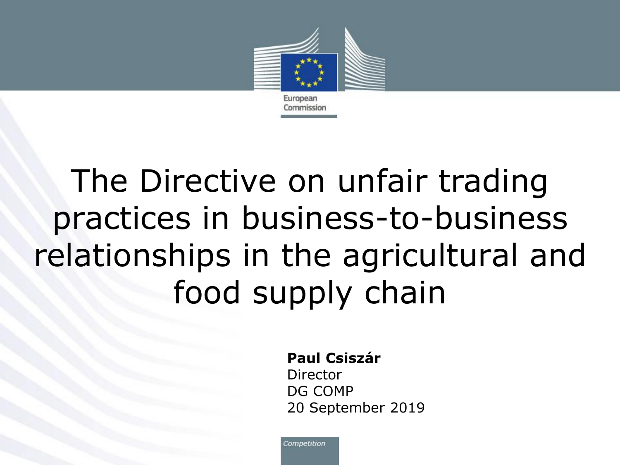

# The Directive on unfair trading practices in business-to-business relationships in the agricultural and food supply chain

#### **Paul Csiszár**

Director DG COMP 20 September 2019

Competition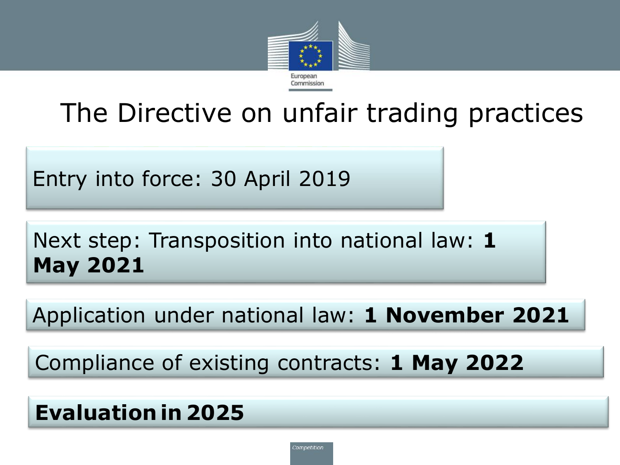

# The Directive on unfair trading practices

Entry into force: 30 April 2019

Next step: Transposition into national law: **1 May 2021**

Application under national law: **1 November 2021** 

Compliance of existing contracts: **1 May 2022** 

### **Evaluation in 2025**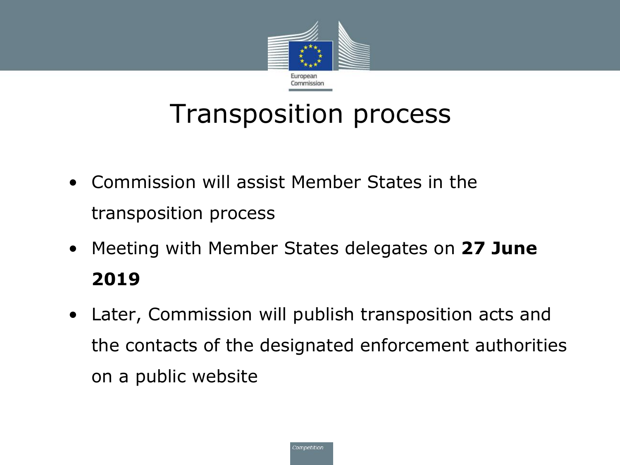

# Transposition process

- Commission will assist Member States in the transposition process
- Meeting with Member States delegates on **27 June 2019**
- Later, Commission will publish transposition acts and the contacts of the designated enforcement authorities on a public website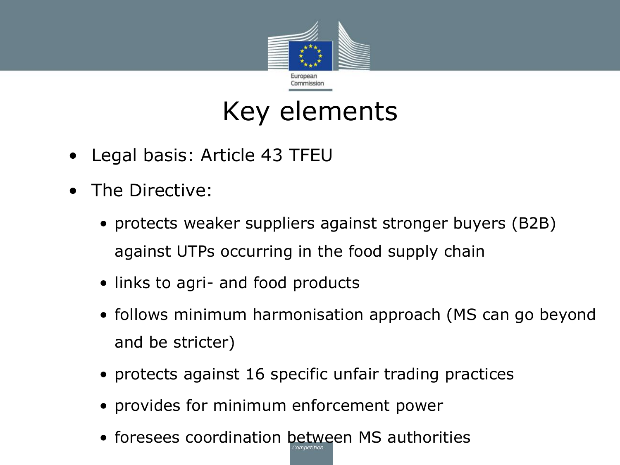

# Key elements

- Legal basis: Article 43 TFEU
- The Directive:
	- protects weaker suppliers against stronger buyers (B2B) against UTPs occurring in the food supply chain
	- links to agri- and food products
	- follows minimum harmonisation approach (MS can go beyond and be stricter)
	- protects against 16 specific unfair trading practices
	- provides for minimum enforcement power
	- foresees coordination between MS authorities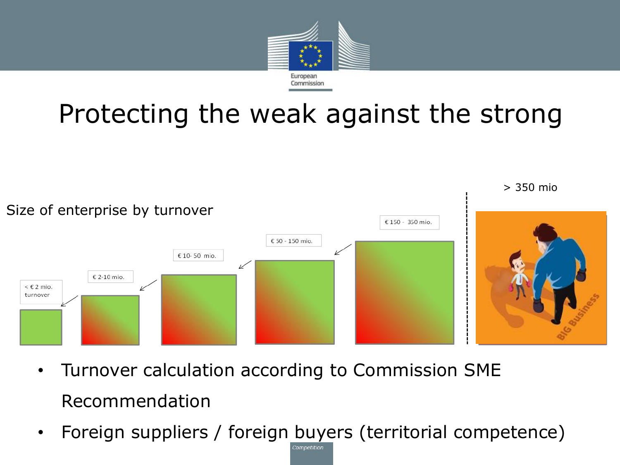

# Protecting the weak against the strong



- Turnover calculation according to Commission SME Recommendation
- Foreign suppliers / foreign buyers (territorial competence)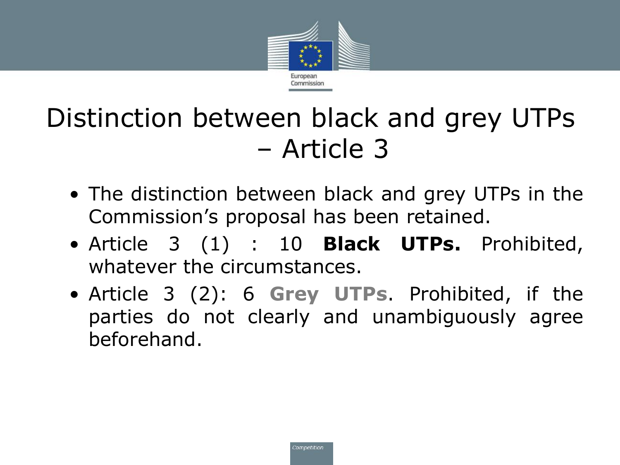

# Distinction between black and grey UTPs – Article 3

- The distinction between black and grey UTPs in the Commission's proposal has been retained.
- Article 3 (1) : 10 **Black UTPs.** Prohibited, whatever the circumstances.
- Article 3 (2): 6 **Grey UTPs**. Prohibited, if the parties do not clearly and unambiguously agree beforehand.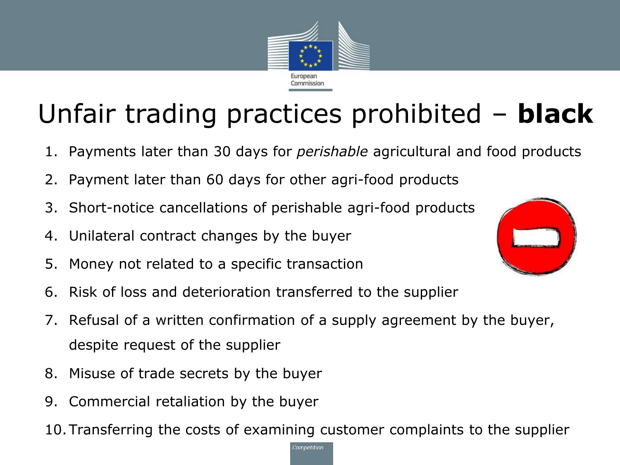

# Unfair trading practices prohibited – **black**

- 1. Payments later than 30 days for *perishable* agricultural and food products
- 2. Payment later than 60 days for other agri-food products
- 3. Short-notice cancellations of perishable agri-food products
- 4. Unilateral contract changes by the buyer
- 5. Money not related to a specific transaction
- 6. Risk of loss and deterioration transferred to the supplier
- 7. Refusal of a written confirmation of a supply agreement by the buyer, despite request of the supplier
- 8. Misuse of trade secrets by the buyer
- 9. Commercial retaliation by the buyer
- 10.Transferring the costs of examining customer complaints to the supplier

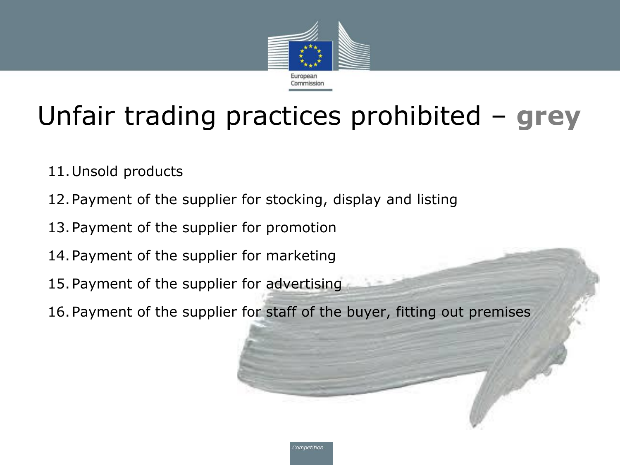

# Unfair trading practices prohibited – **grey**

- 11.Unsold products
- 12.Payment of the supplier for stocking, display and listing
- 13.Payment of the supplier for promotion
- 14.Payment of the supplier for marketing
- 15.Payment of the supplier for advertising
- 16.Payment of the supplier for staff of the buyer, fitting out premises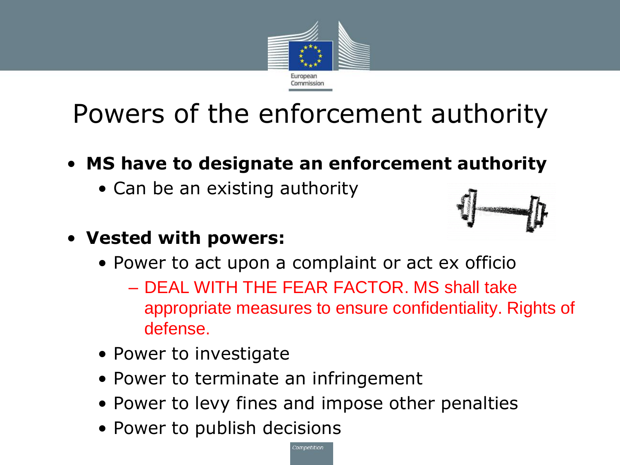

# Powers of the enforcement authority

#### • **MS have to designate an enforcement authority**

• Can be an existing authority



#### • **Vested with powers:**

- Power to act upon a complaint or act ex officio
	- DEAL WITH THE FEAR FACTOR. MS shall take appropriate measures to ensure confidentiality. Rights of defense.
- Power to investigate
- Power to terminate an infringement
- Power to levy fines and impose other penalties
- Power to publish decisions